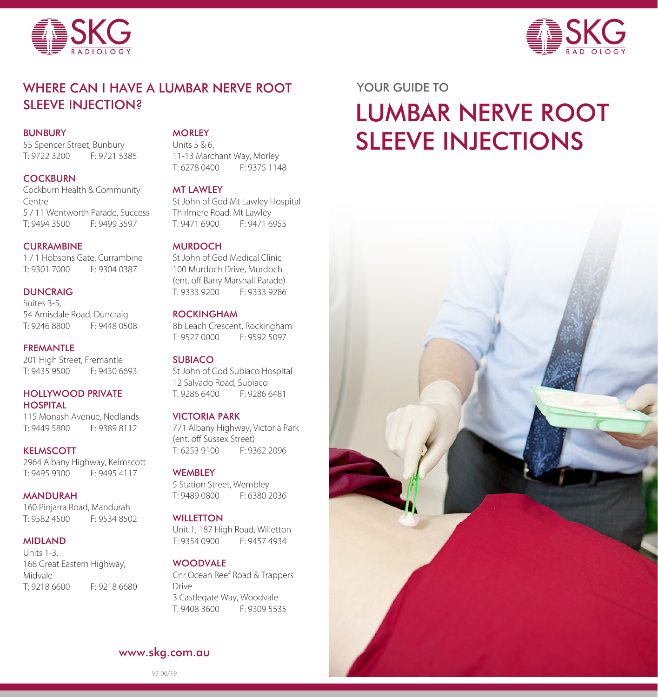



## WHERE CAN I HAVE A LUMBAR NERVE ROOT YOUR GUIDE TO SLEEVE INJECTION?

#### BUNBURY

55 Spencer Street, Bunbury<br>T: 9722 3200 F: 9721 53 F: 9721 5385

**COCKBURN** Cockburn Health & Community Centre 5 / 11 Wentworth Parade, Success T: 9494 3500 F: 9499 3597

#### CURRAMBINE

1 / 1 Hobsons Gate, Currambine<br>T: 9301 7000 F: 9304 0387 F: 9304 0387

#### **DUNCRAIG**

Suites 3-5, 54 Arnisdale Road, Duncraig T: 9246 8800 F: 9448 0508

#### FREMANTLE

201 High Street, Fremantle<br>T: 9435 9500 F: 9430 6 F: 9430 6693

#### HOLLYWOOD PRIVATE HOSPITAL

115 Monash Avenue, Nedlands T: 9449 5800 F: 9389 8112

#### KELMSCOTT

2964 Albany Highway, Kelmscott T: 9495 9300 F: 9495 4117

#### MANDURAH

160 Pinjarra Road, Mandurah T: 9582 4500 F: 9534 8502

#### MIDLAND

Units 1-3, 168 Great Eastern Highway, Midvale T: 9218 6600 F: 9218 6680

## **MORLEY**

Units 5 & 6, 11-13 Marchant Way, Morley<br>T: 6278 0400 F: 9375 1148 T: 6278 0400

#### MT LAWLEY

St John of God Mt Lawley Hospital Thirlmere Road, Mt Lawley T: 9471 6900 F: 9471 6955

#### MURDOCH

St John of God Medical Clinic 100 Murdoch Drive, Murdoch (ent. off Barry Marshall Parade)<br>T: 9333 9200 F: 9333 9286  $T: 9333 9200$ 

#### ROCKINGHAM

8b Leach Crescent, Rockingham T: 9527 0000 F: 9592 5097

#### **SUBIACO**

St John of God Subiaco Hospital 12 Salvado Road, Subiaco<br>T: 9286 6400 F: 9286 F: 9286 6481

#### VICTORIA PARK

771 Albany Highway, Victoria Park (ent. off Sussex Street) T: 6253 9100 F: 9362 2096

#### **WEMBLEY**

5 Station Street, Wembley<br>T: 9489 0800 F: 6380 2036  $T: 9489$   $0800$ 

#### **WILLETTON**

Unit 1, 187 High Road, Willetton T: 9354 0900 F: 9457 4934

#### **WOODVALE**

Cnr Ocean Reef Road & Trappers Drive 3 Castlegate Way, Woodvale T: 9408 3600 F: 9309 5535

### www.skg.com.au

# LUMBAR NERVE ROOT SLEEVE INJECTIONS